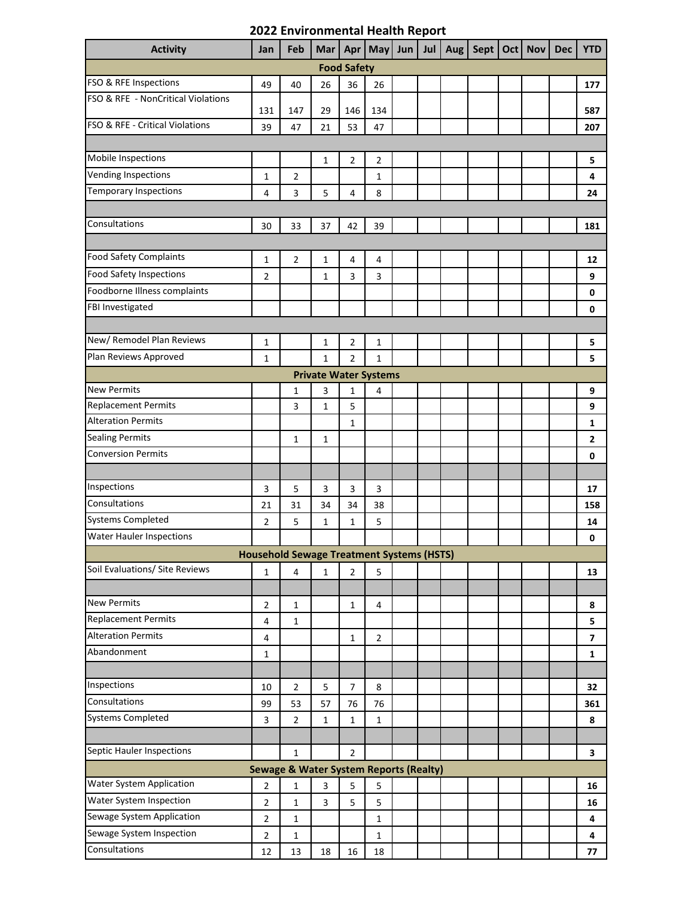## **2022 Environmental Health Report**

| <b>Activity</b>                                   | Jan                     | Feb                                              | Mar                          | Apr            |                | May $ $ Jun $ $ | <b>Jul</b> | Aug | Sept |  | Oct   Nov | <b>Dec</b> | <b>YTD</b>              |
|---------------------------------------------------|-------------------------|--------------------------------------------------|------------------------------|----------------|----------------|-----------------|------------|-----|------|--|-----------|------------|-------------------------|
| <b>Food Safety</b>                                |                         |                                                  |                              |                |                |                 |            |     |      |  |           |            |                         |
| FSO & RFE Inspections                             | 49                      | 40                                               | 26                           | 36             | 26             |                 |            |     |      |  |           |            | 177                     |
| FSO & RFE - NonCritical Violations                | 131                     | 147                                              | 29                           | 146            | 134            |                 |            |     |      |  |           |            | 587                     |
| FSO & RFE - Critical Violations                   | 39                      | 47                                               | 21                           | 53             | 47             |                 |            |     |      |  |           |            | 207                     |
|                                                   |                         |                                                  |                              |                |                |                 |            |     |      |  |           |            |                         |
| Mobile Inspections                                |                         |                                                  | $\mathbf{1}$                 | $\overline{2}$ | $\overline{2}$ |                 |            |     |      |  |           |            | 5                       |
| <b>Vending Inspections</b>                        | $\mathbf 1$             | $\overline{2}$                                   |                              |                | 1              |                 |            |     |      |  |           |            | 4                       |
| <b>Temporary Inspections</b>                      | 4                       | 3                                                | 5                            | 4              | 8              |                 |            |     |      |  |           |            | 24                      |
|                                                   |                         |                                                  |                              |                |                |                 |            |     |      |  |           |            |                         |
| Consultations                                     | 30                      | 33                                               | 37                           | 42             | 39             |                 |            |     |      |  |           |            | 181                     |
|                                                   |                         |                                                  |                              |                |                |                 |            |     |      |  |           |            |                         |
| <b>Food Safety Complaints</b>                     | 1                       | $\overline{2}$                                   | 1                            | $\overline{4}$ | $\overline{4}$ |                 |            |     |      |  |           |            | 12                      |
| <b>Food Safety Inspections</b>                    | $\overline{2}$          |                                                  | $\mathbf{1}$                 | 3              | 3              |                 |            |     |      |  |           |            | 9                       |
| Foodborne Illness complaints                      |                         |                                                  |                              |                |                |                 |            |     |      |  |           |            | 0                       |
| FBI Investigated                                  |                         |                                                  |                              |                |                |                 |            |     |      |  |           |            | 0                       |
|                                                   |                         |                                                  |                              |                |                |                 |            |     |      |  |           |            |                         |
| New/ Remodel Plan Reviews                         | 1                       |                                                  | $\mathbf{1}$                 | $\overline{2}$ | 1              |                 |            |     |      |  |           |            | 5                       |
| Plan Reviews Approved                             | $\mathbf{1}$            |                                                  | $\mathbf{1}$                 | $\overline{2}$ | $\mathbf{1}$   |                 |            |     |      |  |           |            | 5                       |
|                                                   |                         |                                                  | <b>Private Water Systems</b> |                |                |                 |            |     |      |  |           |            |                         |
| <b>New Permits</b>                                |                         | $\mathbf{1}$                                     | 3                            | $\mathbf{1}$   | 4              |                 |            |     |      |  |           |            | 9                       |
| <b>Replacement Permits</b>                        |                         | 3                                                | $\mathbf{1}$                 | 5              |                |                 |            |     |      |  |           |            | 9                       |
| <b>Alteration Permits</b>                         |                         |                                                  |                              | $\mathbf{1}$   |                |                 |            |     |      |  |           |            | 1                       |
| <b>Sealing Permits</b>                            |                         | $1\,$                                            | $\mathbf{1}$                 |                |                |                 |            |     |      |  |           |            | 2                       |
| <b>Conversion Permits</b>                         |                         |                                                  |                              |                |                |                 |            |     |      |  |           |            | 0                       |
|                                                   |                         |                                                  |                              |                |                |                 |            |     |      |  |           |            |                         |
| Inspections                                       | 3                       | 5                                                | 3                            | 3              | 3              |                 |            |     |      |  |           |            | 17                      |
| Consultations                                     | 21                      | 31                                               | 34                           | 34             | 38             |                 |            |     |      |  |           |            | 158                     |
| <b>Systems Completed</b>                          | $\overline{2}$          | 5                                                | $\mathbf{1}$                 | $\mathbf{1}$   | 5              |                 |            |     |      |  |           |            | 14                      |
| <b>Water Hauler Inspections</b>                   |                         |                                                  |                              |                |                |                 |            |     |      |  |           |            | 0                       |
|                                                   |                         | <b>Household Sewage Treatment Systems (HSTS)</b> |                              |                |                |                 |            |     |      |  |           |            |                         |
| Soil Evaluations/ Site Reviews                    | 1                       | $\overline{4}$                                   | 1                            | $\overline{2}$ | 5              |                 |            |     |      |  |           |            | 13                      |
|                                                   |                         |                                                  |                              |                |                |                 |            |     |      |  |           |            |                         |
| <b>New Permits</b>                                | $\overline{2}$          | $\mathbf{1}$                                     |                              | $\mathbf{1}$   | 4              |                 |            |     |      |  |           |            | 8                       |
| <b>Replacement Permits</b>                        | 4                       | $1\,$                                            |                              |                |                |                 |            |     |      |  |           |            | 5                       |
| <b>Alteration Permits</b>                         | $\overline{\mathbf{4}}$ |                                                  |                              | $\mathbf 1$    | $\overline{2}$ |                 |            |     |      |  |           |            | $\overline{\mathbf{z}}$ |
| Abandonment                                       | 1                       |                                                  |                              |                |                |                 |            |     |      |  |           |            | $\mathbf{1}$            |
|                                                   |                         |                                                  |                              |                |                |                 |            |     |      |  |           |            |                         |
| Inspections                                       | 10                      | $\overline{2}$                                   | 5                            | $\overline{7}$ | 8              |                 |            |     |      |  |           |            | 32                      |
| Consultations                                     | 99                      | 53                                               | 57                           | 76             | 76             |                 |            |     |      |  |           |            | 361                     |
| <b>Systems Completed</b>                          | 3                       | $\overline{2}$                                   | $\mathbf{1}$                 | $\mathbf 1$    | $\mathbf 1$    |                 |            |     |      |  |           |            | 8                       |
|                                                   |                         |                                                  |                              |                |                |                 |            |     |      |  |           |            |                         |
| Septic Hauler Inspections                         |                         | $\mathbf{1}$                                     |                              | $\overline{2}$ |                |                 |            |     |      |  |           |            | 3                       |
| <b>Sewage &amp; Water System Reports (Realty)</b> |                         |                                                  |                              |                |                |                 |            |     |      |  |           |            |                         |
| <b>Water System Application</b>                   | $\overline{2}$          | $\mathbf 1$                                      | 3                            | 5              | 5              |                 |            |     |      |  |           |            | 16                      |
| Water System Inspection                           | $\overline{2}$          | $\mathbf{1}$                                     | 3                            | 5              | 5              |                 |            |     |      |  |           |            | 16                      |
| Sewage System Application                         | $\overline{2}$          | $1\,$                                            |                              |                | $\mathbf 1$    |                 |            |     |      |  |           |            | 4                       |
| Sewage System Inspection                          | $\overline{2}$          | $\mathbf 1$                                      |                              |                | $\mathbf{1}$   |                 |            |     |      |  |           |            | 4                       |
| Consultations                                     | 12                      | 13                                               | 18                           | 16             | 18             |                 |            |     |      |  |           |            | 77                      |